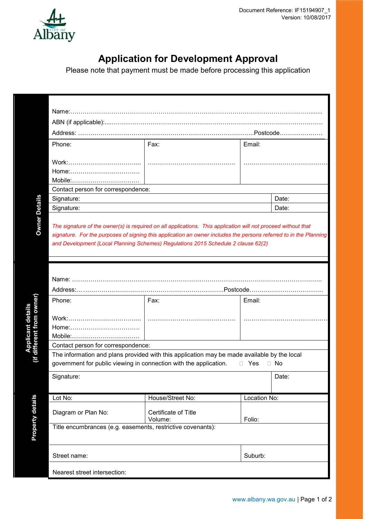

## **Application for Development Approval**

Please note that payment must be made before processing this application

|                                                     | Phone:                                                                                                                                     | Fax:                                                                                                                                                                                                                                                                                                          | Email:               |         |  |
|-----------------------------------------------------|--------------------------------------------------------------------------------------------------------------------------------------------|---------------------------------------------------------------------------------------------------------------------------------------------------------------------------------------------------------------------------------------------------------------------------------------------------------------|----------------------|---------|--|
|                                                     |                                                                                                                                            |                                                                                                                                                                                                                                                                                                               |                      |         |  |
|                                                     | Mobile:                                                                                                                                    |                                                                                                                                                                                                                                                                                                               |                      |         |  |
|                                                     | Contact person for correspondence:                                                                                                         |                                                                                                                                                                                                                                                                                                               |                      |         |  |
|                                                     | Signature:                                                                                                                                 |                                                                                                                                                                                                                                                                                                               |                      | Date:   |  |
| <b>Owner Details</b>                                | Signature:                                                                                                                                 |                                                                                                                                                                                                                                                                                                               |                      | Date:   |  |
| if different from owner<br><b>Applicant details</b> | Phone:<br>Mobile:<br>Contact person for correspondence:<br>government for public viewing in connection with the application.<br>Signature: | signature. For the purposes of signing this application an owner includes the persons referred to in the Planning<br>and Development (Local Planning Schemes) Regulations 2015 Schedule 2 clause 62(2)<br>Fax:<br>The information and plans provided with this application may be made available by the local | Email:<br>□ Yes □ No | Date:   |  |
|                                                     |                                                                                                                                            |                                                                                                                                                                                                                                                                                                               |                      |         |  |
|                                                     | Lot No:                                                                                                                                    | House/Street No:                                                                                                                                                                                                                                                                                              | Location No:         |         |  |
| <b>Property details</b>                             | Diagram or Plan No:                                                                                                                        | Certificate of Title<br>Volume:                                                                                                                                                                                                                                                                               | Folio:               |         |  |
|                                                     | Title encumbrances (e.g. easements, restrictive covenants):                                                                                |                                                                                                                                                                                                                                                                                                               |                      |         |  |
|                                                     | Street name:                                                                                                                               |                                                                                                                                                                                                                                                                                                               |                      | Suburb: |  |
|                                                     | Nearest street intersection:                                                                                                               |                                                                                                                                                                                                                                                                                                               |                      |         |  |